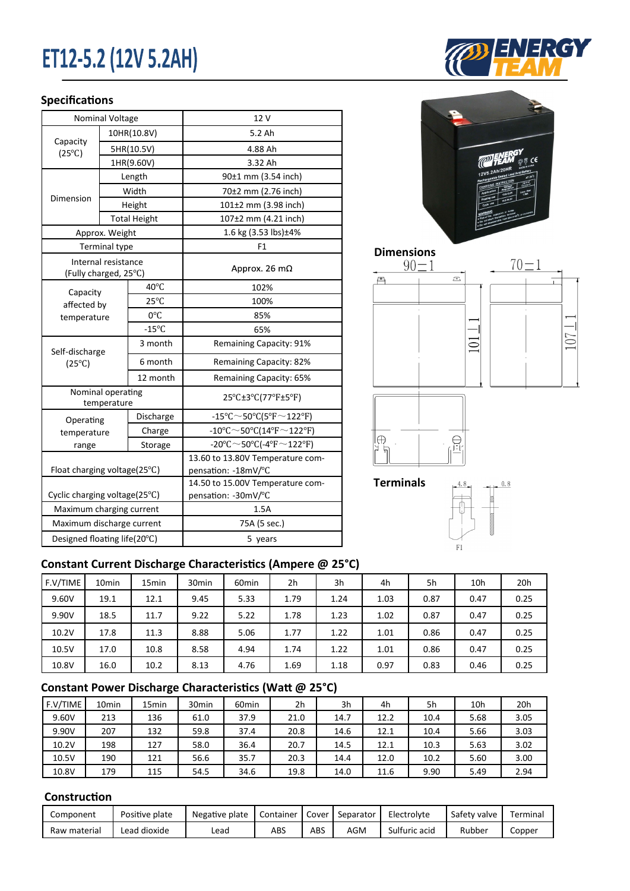# ET12-5.2 (12V 5.2AH)

### **Specifications**

|                                              | <b>Nominal Voltage</b> |                     | 12 V                                                    |  |  |  |  |
|----------------------------------------------|------------------------|---------------------|---------------------------------------------------------|--|--|--|--|
|                                              |                        | 10HR(10.8V)         | 5.2 Ah                                                  |  |  |  |  |
| Capacity<br>$(25^{\circ}C)$                  |                        | 5HR(10.5V)          | 4.88 Ah                                                 |  |  |  |  |
|                                              |                        | 1HR(9.60V)          | 3.32 Ah                                                 |  |  |  |  |
|                                              |                        | Length              | 90±1 mm (3.54 inch)                                     |  |  |  |  |
|                                              | Width                  |                     | 70±2 mm (2.76 inch)                                     |  |  |  |  |
| Dimension                                    |                        | Height              | 101±2 mm (3.98 inch)                                    |  |  |  |  |
|                                              |                        | <b>Total Height</b> | 107±2 mm (4.21 inch)                                    |  |  |  |  |
|                                              | Approx. Weight         |                     | 1.6 kg (3.53 lbs)±4%                                    |  |  |  |  |
|                                              | <b>Terminal type</b>   |                     | F1                                                      |  |  |  |  |
| Internal resistance<br>(Fully charged, 25°C) |                        |                     | Approx. 26 $m\Omega$                                    |  |  |  |  |
| Capacity                                     |                        | 40°C                | 102%                                                    |  |  |  |  |
|                                              | affected by            |                     | 100%                                                    |  |  |  |  |
| temperature                                  |                        | 0°C                 | 85%                                                     |  |  |  |  |
|                                              |                        | $-15^{\circ}C$      | 65%                                                     |  |  |  |  |
| Self-discharge                               |                        | 3 month             | Remaining Capacity: 91%                                 |  |  |  |  |
| $(25^{\circ}C)$                              |                        | 6 month             | Remaining Capacity: 82%                                 |  |  |  |  |
|                                              |                        | 12 month            | Remaining Capacity: 65%                                 |  |  |  |  |
| Nominal operating<br>temperature             |                        |                     | 25°C±3°C(77°F±5°F)                                      |  |  |  |  |
| Operating                                    |                        | Discharge           | -15°C $\sim$ 50°C(5°F $\sim$ 122°F)                     |  |  |  |  |
| temperature                                  |                        | Charge              | $-10^{\circ}$ C $\sim$ 50°C(14°F $\sim$ 122°F)          |  |  |  |  |
| range                                        |                        | Storage             | -20°C $\sim$ 50°C(-4°F $\sim$ 122°F)                    |  |  |  |  |
| Float charging voltage(25°C)                 |                        |                     | 13.60 to 13.80V Temperature com-<br>pensation: -18mV/°C |  |  |  |  |
| Cyclic charging voltage(25°C)                |                        |                     | 14.50 to 15.00V Temperature com-<br>pensation: -30mV/°C |  |  |  |  |
| Maximum charging current                     |                        |                     | 1.5A                                                    |  |  |  |  |
| Maximum discharge current                    |                        |                     | 75A (5 sec.)                                            |  |  |  |  |
| Designed floating life(20°C)                 |                        |                     | 5 years                                                 |  |  |  |  |









**Terminals**



### **Constant Current Discharge Characteristics (Ampere @ 25°C)**

| F.V/TIME | 10 <sub>min</sub> | 15 <sub>min</sub> | 30 <sub>min</sub> | 60 <sub>min</sub> | 2h   | 3h   | 4h   | 5h   | 10h  | 20 <sub>h</sub> |
|----------|-------------------|-------------------|-------------------|-------------------|------|------|------|------|------|-----------------|
| 9.60V    | 19.1              | 12.1              | 9.45              | 5.33              | 1.79 | 1.24 | 1.03 | 0.87 | 0.47 | 0.25            |
| 9.90V    | 18.5              | 11.7              | 9.22              | 5.22              | 1.78 | 1.23 | 1.02 | 0.87 | 0.47 | 0.25            |
| 10.2V    | 17.8              | 11.3              | 8.88              | 5.06              | 1.77 | 1.22 | 1.01 | 0.86 | 0.47 | 0.25            |
| 10.5V    | 17.0              | 10.8              | 8.58              | 4.94              | 1.74 | 1.22 | 1.01 | 0.86 | 0.47 | 0.25            |
| 10.8V    | 16.0              | 10.2              | 8.13              | 4.76              | 1.69 | 1.18 | 0.97 | 0.83 | 0.46 | 0.25            |

### **Constant Power Discharge Characteristics (Watt @ 25°C)**

| F.V/TIME | 10 <sub>min</sub> | 15 <sub>min</sub> | 30 <sub>min</sub> | 60 <sub>min</sub> | 2h   | 3h   | 4h   | 5h   | 10 <sub>h</sub> | 20h  |
|----------|-------------------|-------------------|-------------------|-------------------|------|------|------|------|-----------------|------|
| 9.60V    | 213               | 136               | 61.0              | 37.9              | 21.0 | 14.7 | 12.2 | 10.4 | 5.68            | 3.05 |
| 9.90V    | 207               | 132               | 59.8              | 37.4              | 20.8 | 14.6 | 12.1 | 10.4 | 5.66            | 3.03 |
| 10.2V    | 198               | 127               | 58.0              | 36.4              | 20.7 | 14.5 | 12.1 | 10.3 | 5.63            | 3.02 |
| 10.5V    | 190               | 121               | 56.6              | 35.7              | 20.3 | 14.4 | 12.0 | 10.2 | 5.60            | 3.00 |
| 10.8V    | 179               | 115               | 54.5              | 34.6              | 19.8 | 14.0 | 11.6 | 9.90 | 5.49            | 2.94 |

#### **Construction**

| Component    | Positive plate | Negative plate | Container | Cover | Separator | Electrolyte   | Safety valve | Terminal |
|--------------|----------------|----------------|-----------|-------|-----------|---------------|--------------|----------|
| Raw material | Lead dioxide   | Lead           | ABS       | ABS   | AGM       | Sulfuric acid | Rubber       | Copper   |